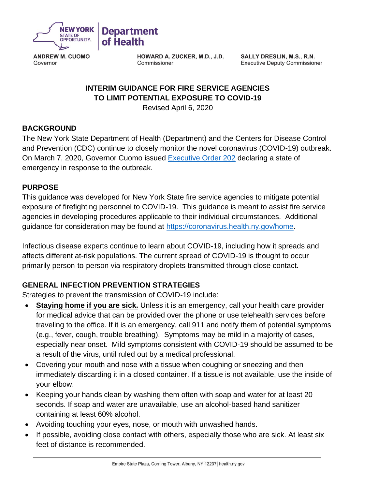

**ANDREW M. CUOMO** Governor

HOWARD A. ZUCKER, M.D., J.D. Commissioner

SALLY DRESLIN, M.S., R.N. **Executive Deputy Commissioner** 

# **INTERIM GUIDANCE FOR FIRE SERVICE AGENCIES TO LIMIT POTENTIAL EXPOSURE TO COVID-19**

Revised April 6, 2020

### **BACKGROUND**

The New York State Department of Health (Department) and the Centers for Disease Control and Prevention (CDC) continue to closely monitor the novel coronavirus (COVID-19) outbreak. On March 7, 2020, Governor Cuomo issued [Executive Order 202](https://www.governor.ny.gov/news/no-202-declaring-disaster-emergency-state-new-york) declaring a state of emergency in response to the outbreak.

#### **PURPOSE**

This guidance was developed for New York State fire service agencies to mitigate potential exposure of firefighting personnel to COVID-19. This guidance is meant to assist fire service agencies in developing procedures applicable to their individual circumstances. Additional guidance for consideration may be found at [https://coronavirus.health.ny.gov/home.](https://coronavirus.health.ny.gov/home)

Infectious disease experts continue to learn about COVID-19, including how it spreads and affects different at-risk populations. The current spread of COVID-19 is thought to occur primarily person-to-person via respiratory droplets transmitted through close contact.

#### **GENERAL INFECTION PREVENTION STRATEGIES**

Strategies to prevent the transmission of COVID-19 include:

- **Staying home if you are sick.** Unless it is an emergency, call your health care provider for medical advice that can be provided over the phone or use telehealth services before traveling to the office. If it is an emergency, call 911 and notify them of potential symptoms (e.g., fever, cough, trouble breathing). Symptoms may be mild in a majority of cases, especially near onset. Mild symptoms consistent with COVID-19 should be assumed to be a result of the virus, until ruled out by a medical professional.
- Covering your mouth and nose with a tissue when coughing or sneezing and then immediately discarding it in a closed container. If a tissue is not available, use the inside of your elbow.
- Keeping your hands clean by washing them often with soap and water for at least 20 seconds. If soap and water are unavailable, use an alcohol-based hand sanitizer containing at least 60% alcohol.
- Avoiding touching your eyes, nose, or mouth with unwashed hands.
- If possible, avoiding close contact with others, especially those who are sick. At least six feet of distance is recommended.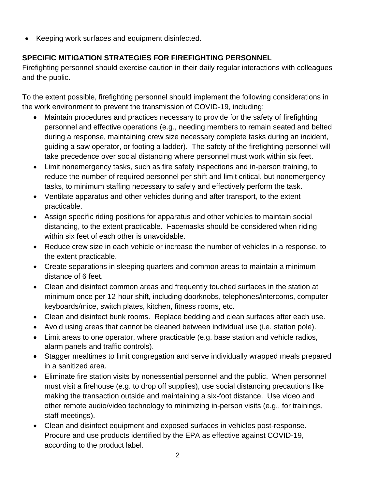• Keeping work surfaces and equipment disinfected.

# **SPECIFIC MITIGATION STRATEGIES FOR FIREFIGHTING PERSONNEL**

Firefighting personnel should exercise caution in their daily regular interactions with colleagues and the public.

To the extent possible, firefighting personnel should implement the following considerations in the work environment to prevent the transmission of COVID-19, including:

- Maintain procedures and practices necessary to provide for the safety of firefighting personnel and effective operations (e.g., needing members to remain seated and belted during a response, maintaining crew size necessary complete tasks during an incident, guiding a saw operator, or footing a ladder). The safety of the firefighting personnel will take precedence over social distancing where personnel must work within six feet.
- Limit nonemergency tasks, such as fire safety inspections and in-person training, to reduce the number of required personnel per shift and limit critical, but nonemergency tasks, to minimum staffing necessary to safely and effectively perform the task.
- Ventilate apparatus and other vehicles during and after transport, to the extent practicable.
- Assign specific riding positions for apparatus and other vehicles to maintain social distancing, to the extent practicable. Facemasks should be considered when riding within six feet of each other is unavoidable.
- Reduce crew size in each vehicle or increase the number of vehicles in a response, to the extent practicable.
- Create separations in sleeping quarters and common areas to maintain a minimum distance of 6 feet.
- Clean and disinfect common areas and frequently touched surfaces in the station at minimum once per 12-hour shift, including doorknobs, telephones/intercoms, computer keyboards/mice, switch plates, kitchen, fitness rooms, etc.
- Clean and disinfect bunk rooms. Replace bedding and clean surfaces after each use.
- Avoid using areas that cannot be cleaned between individual use (i.e. station pole).
- Limit areas to one operator, where practicable (e.g. base station and vehicle radios, alarm panels and traffic controls).
- Stagger mealtimes to limit congregation and serve individually wrapped meals prepared in a sanitized area.
- Eliminate fire station visits by nonessential personnel and the public. When personnel must visit a firehouse (e.g. to drop off supplies), use social distancing precautions like making the transaction outside and maintaining a six-foot distance. Use video and other remote audio/video technology to minimizing in-person visits (e.g., for trainings, staff meetings).
- Clean and disinfect equipment and exposed surfaces in vehicles post-response. Procure and use products identified by the EPA as effective against COVID-19, according to the product label.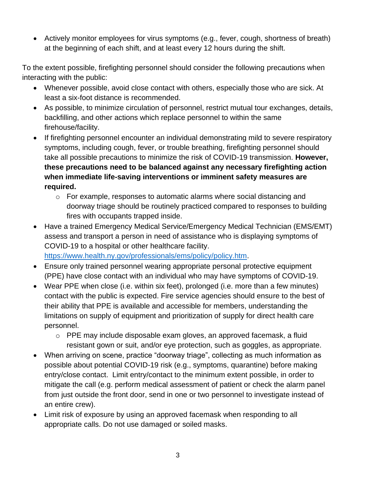• Actively monitor employees for virus symptoms (e.g., fever, cough, shortness of breath) at the beginning of each shift, and at least every 12 hours during the shift.

To the extent possible, firefighting personnel should consider the following precautions when interacting with the public:

- Whenever possible, avoid close contact with others, especially those who are sick. At least a six-foot distance is recommended.
- As possible, to minimize circulation of personnel, restrict mutual tour exchanges, details, backfilling, and other actions which replace personnel to within the same firehouse/facility.
- If firefighting personnel encounter an individual demonstrating mild to severe respiratory symptoms, including cough, fever, or trouble breathing, firefighting personnel should take all possible precautions to minimize the risk of COVID-19 transmission. **However, these precautions need to be balanced against any necessary firefighting action when immediate life-saving interventions or imminent safety measures are required.**
	- $\circ$  For example, responses to automatic alarms where social distancing and doorway triage should be routinely practiced compared to responses to building fires with occupants trapped inside.
- Have a trained Emergency Medical Service/Emergency Medical Technician (EMS/EMT) assess and transport a person in need of assistance who is displaying symptoms of COVID-19 to a hospital or other healthcare facility. [https://www.health.ny.gov/professionals/ems/policy/policy.htm.](https://www.health.ny.gov/professionals/ems/policy/policy.htm)
- Ensure only trained personnel wearing appropriate personal protective equipment (PPE) have close contact with an individual who may have symptoms of COVID-19.
- Wear PPE when close (i.e. within six feet), prolonged (i.e. more than a few minutes) contact with the public is expected. Fire service agencies should ensure to the best of their ability that PPE is available and accessible for members, understanding the limitations on supply of equipment and prioritization of supply for direct health care personnel.
	- o PPE may include disposable exam gloves, an approved facemask, a fluid resistant gown or suit, and/or eye protection, such as goggles, as appropriate.
- When arriving on scene, practice "doorway triage", collecting as much information as possible about potential COVID-19 risk (e.g., symptoms, quarantine) before making entry/close contact. Limit entry/contact to the minimum extent possible, in order to mitigate the call (e.g. perform medical assessment of patient or check the alarm panel from just outside the front door, send in one or two personnel to investigate instead of an entire crew).
- Limit risk of exposure by using an approved facemask when responding to all appropriate calls. Do not use damaged or soiled masks.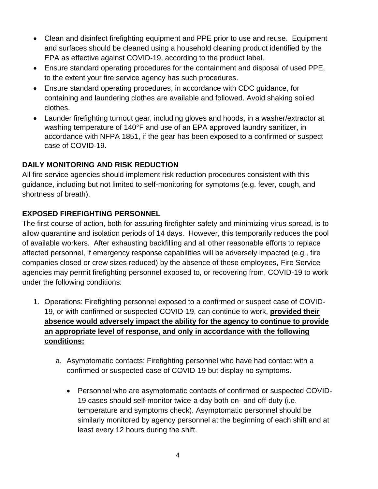- Clean and disinfect firefighting equipment and PPE prior to use and reuse. Equipment and surfaces should be cleaned using a household cleaning product identified by the EPA as effective against COVID-19, according to the product label.
- Ensure standard operating procedures for the containment and disposal of used PPE, to the extent your fire service agency has such procedures.
- Ensure standard operating procedures, in accordance with CDC guidance, for containing and laundering clothes are available and followed. Avoid shaking soiled clothes.
- Launder firefighting turnout gear, including gloves and hoods, in a washer/extractor at washing temperature of 140°F and use of an EPA approved laundry sanitizer, in accordance with NFPA 1851, if the gear has been exposed to a confirmed or suspect case of COVID-19.

## **DAILY MONITORING AND RISK REDUCTION**

All fire service agencies should implement risk reduction procedures consistent with this guidance, including but not limited to self-monitoring for symptoms (e.g. fever, cough, and shortness of breath).

## **EXPOSED FIREFIGHTING PERSONNEL**

The first course of action, both for assuring firefighter safety and minimizing virus spread, is to allow quarantine and isolation periods of 14 days. However, this temporarily reduces the pool of available workers. After exhausting backfilling and all other reasonable efforts to replace affected personnel, if emergency response capabilities will be adversely impacted (e.g., fire companies closed or crew sizes reduced) by the absence of these employees, Fire Service agencies may permit firefighting personnel exposed to, or recovering from, COVID-19 to work under the following conditions:

- 1. Operations: Firefighting personnel exposed to a confirmed or suspect case of COVID-19, or with confirmed or suspected COVID-19, can continue to work, **provided their absence would adversely impact the ability for the agency to continue to provide an appropriate level of response, and only in accordance with the following conditions:**
	- a. Asymptomatic contacts: Firefighting personnel who have had contact with a confirmed or suspected case of COVID-19 but display no symptoms.
		- Personnel who are asymptomatic contacts of confirmed or suspected COVID-19 cases should self-monitor twice-a-day both on- and off-duty (i.e. temperature and symptoms check). Asymptomatic personnel should be similarly monitored by agency personnel at the beginning of each shift and at least every 12 hours during the shift.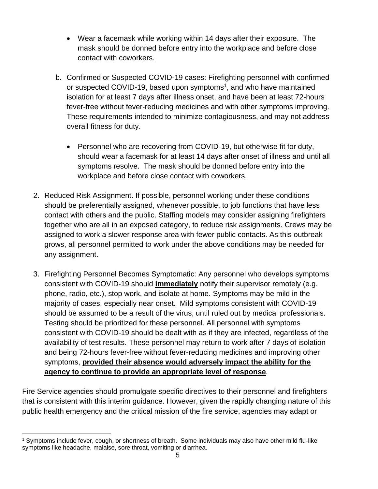- Wear a facemask while working within 14 days after their exposure. The mask should be donned before entry into the workplace and before close contact with coworkers.
- b. Confirmed or Suspected COVID-19 cases: Firefighting personnel with confirmed or suspected COVID-19, based upon symptoms<sup>1</sup>, and who have maintained isolation for at least 7 days after illness onset, and have been at least 72-hours fever-free without fever-reducing medicines and with other symptoms improving. These requirements intended to minimize contagiousness, and may not address overall fitness for duty.
	- Personnel who are recovering from COVID-19, but otherwise fit for duty, should wear a facemask for at least 14 days after onset of illness and until all symptoms resolve. The mask should be donned before entry into the workplace and before close contact with coworkers.
- 2. Reduced Risk Assignment. If possible, personnel working under these conditions should be preferentially assigned, whenever possible, to job functions that have less contact with others and the public. Staffing models may consider assigning firefighters together who are all in an exposed category, to reduce risk assignments. Crews may be assigned to work a slower response area with fewer public contacts. As this outbreak grows, all personnel permitted to work under the above conditions may be needed for any assignment.
- 3. Firefighting Personnel Becomes Symptomatic: Any personnel who develops symptoms consistent with COVID-19 should **immediately** notify their supervisor remotely (e.g. phone, radio, etc.), stop work, and isolate at home. Symptoms may be mild in the majority of cases, especially near onset. Mild symptoms consistent with COVID-19 should be assumed to be a result of the virus, until ruled out by medical professionals. Testing should be prioritized for these personnel. All personnel with symptoms consistent with COVID-19 should be dealt with as if they are infected, regardless of the availability of test results. These personnel may return to work after 7 days of isolation and being 72-hours fever-free without fever-reducing medicines and improving other symptoms, **provided their absence would adversely impact the ability for the agency to continue to provide an appropriate level of response**.

Fire Service agencies should promulgate specific directives to their personnel and firefighters that is consistent with this interim guidance. However, given the rapidly changing nature of this public health emergency and the critical mission of the fire service, agencies may adapt or

<sup>1</sup> Symptoms include fever, cough, or shortness of breath. Some individuals may also have other mild flu-like symptoms like headache, malaise, sore throat, vomiting or diarrhea.